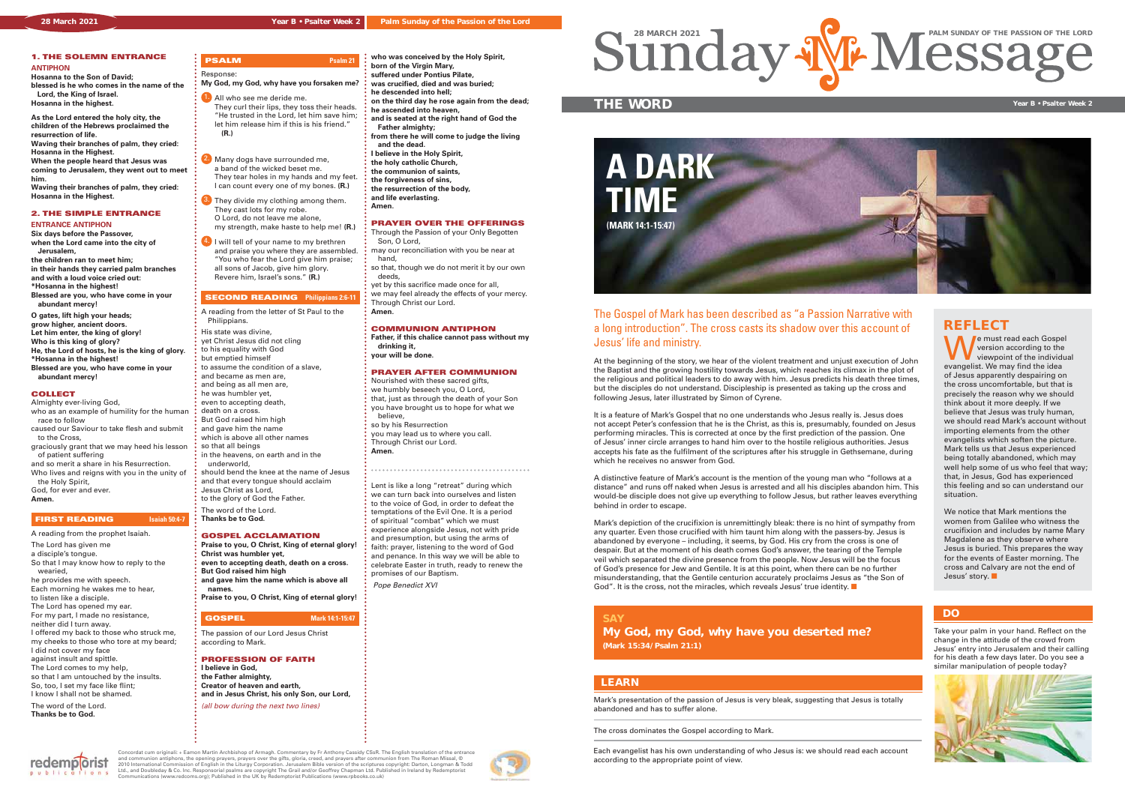We must read each Gospel<br>
version according to the<br>
viewpoint of the individual<br>
evangelist We may find the idea version according to the evangelist. We may find the idea of Jesus apparently despairing on the cross uncomfortable, but that is precisely the reason why we should think about it more deeply. If we believe that Jesus was truly human, we should read Mark's account without importing elements from the other evangelists which soften the picture. Mark tells us that Jesus experienced being totally abandoned, which may well help some of us who feel that way: that, in Jesus, God has experienced this feeling and so can understand our situation.

We notice that Mark mentions the women from Galilee who witness the crucifixion and includes by name Mary Magdalene as they observe where Jesus is buried. This prepares the way for the events of Easter morning. The cross and Calvary are not the end of  $J$ esus' story.

## **REFLECT**

Mark's presentation of the passion of Jesus is very bleak, suggesting that Jesus is totally abandoned and has to suffer alone.

The cross dominates the Gospel according to Mark.

Each evangelist has his own understanding of who Jesus is: we should read each account according to the appropriate point of view.

## **LEARN**

### **1. THE SOLEMN ENTRANCE ANTIPHON**

## **PSALM Psalm 21** Response: **My God, my God, why have you forsaken me?** 1. All who see me deride me.

**Hosanna to the Son of David; blessed is he who comes in the name of the Lord, the King of Israel. Hosanna in the highest.**

**As the Lord entered the holy city, the children of the Hebrews proclaimed the resurrection of life. Waving their branches of palm, they cried:**

**Hosanna in the Highest. When the people heard that Jesus was**

**coming to Jerusalem, they went out to meet him.**

- 2. Many dogs have surrounded me, a band of the wicked beset me. They tear holes in my hands and my feet. I can count every one of my bones. **(R.)**
- **3.** They divide my clothing among them. They cast lots for my robe. O Lord, do not leave me alone,
- my strength, make haste to help me! **(R.)** 4. I will tell of your name to my brethren and praise you where they are assembled. "You who fear the Lord give him praise; all sons of Jacob, give him glory.

## **SECOND READING Philippians 2:6-11**

**Waving their branches of palm, they cried: Hosanna in the Highest.**

## **2. THE SIMPLE ENTRANCE**

### **ENTRANCE ANTIPHON**

**Six days before the Passover, when the Lord came into the city of Jerusalem,**

**the children ran to meet him; in their hands they carried palm branches**

- **and with a loud voice cried out: \*Hosanna in the highest!**
- **Blessed are you, who have come in your**

 **abundant mercy! O gates, lift high your heads; grow higher, ancient doors. Let him enter, the king of glory!**

**Who is this king of glory? He, the Lord of hosts, he is the king of glory. \*Hosanna in the highest! Blessed are you, who have come in your abundant mercy!**

### **COLLECT**

Almighty ever-living God,

- who as an example of humility for the human race to follow
- caused our Saviour to take flesh and submit to the Cross,
- graciously grant that we may heed his lesson of patient suffering
- and so merit a share in his Resurrection. Who lives and reigns with you in the unity of

 the Holy Spirit, God, for ever and ever.

**Amen.**

### **FIRST READING Isaiah 50:4-7**

## A reading from the prophet Isaiah.

- The Lord has given me
- a disciple's tongue.
- So that I may know how to reply to the
- wearied,
- he provides me with speech. Each morning he wakes me to hear,
- to listen like a disciple.
- The Lord has opened my ear.
- For my part, I made no resistance,
- neither did I turn away.
- I offered my back to those who struck me, my cheeks to those who tore at my beard;
- I did not cover my face against insult and spittle. The Lord comes to my help,
- so that I am untouched by the insults. So, too, I set my face like flint; I know I shall not be shamed.

The word of the Lord. **Thanks be to God.** 

 They curl their lips, they toss their heads. "He trusted in the Lord, let him save him; let him release him if this is his friend." **(R.)**

> Mark's depiction of the crucifixion is unremittingly bleak: there is no hint of sympathy from any quarter. Even those crucified with him taunt him along with the passers-by. Jesus is abandoned by everyone – including, it seems, by God. His cry from the cross is one of despair. But at the moment of his death comes God's answer, the tearing of the Temple veil which separated the divine presence from the people. Now Jesus will be the focus of God's presence for Jew and Gentile. It is at this point, when there can be no further misunderstanding, that the Gentile centurion accurately proclaims Jesus as "the Son of God". It is the cross, not the miracles, which reveals Jesus' true identity.

Revere him, Israel's sons." **(R.)**

- A reading from the letter of St Paul to the Philippians. His state was divine, yet Christ Jesus did not cling
- to his equality with God
- but emptied himself
- to assume the condition of a slave,
- and became as men are,
- and being as all men are,
- he was humbler yet,
- even to accepting death, death on a cross.
- But God raised him high
- and gave him the name
- which is above all other names
- so that all beings
- in the heavens, on earth and in the underworld,
- should bend the knee at the name of Jesus
- and that every tongue should acclaim
- Jesus Christ as Lord, to the glory of God the Father.
- The word of the Lord.
- **Thanks be to God.**

## **GOSPEL ACCLAMATION**

- **Praise to you, O Christ, King of eternal glory!**
- **Christ was humbler yet, even to accepting death, death on a cross.**
- **But God raised him high**
- **and gave him the name which is above all names.**
- **Praise to you, O Christ, King of eternal glory!**

### **GOSPEL Mark 14:1-15:47**

The passion of our Lord Jesus Christ according to Mark.

## **PROFESSION OF FAITH**

- **I believe in God,**
- **the Father almighty, Creator of heaven and earth,**
- **and in Jesus Christ, his only Son, our Lord,**
- (all bow during the next two lines)



Concordat cum originali: + Eamon Martin Archbishop of Armagh. Commentary by Fr Anthony Cassidy CSsR. The English translation of the entrance<br>and communion antiphons, the opening prayers, prayers over the gifts, gloria, ror

**who was conceived by the Holy Spirit,**

**born of the Virgin Mary, suffered under Pontius Pilate, was crucified, died and was buried;**

**he descended into hell;**

**on the third day he rose again from the dead;**

**he ascended into heaven,**

**and is seated at the right hand of God the**

 **Father almighty;**

**from there he will come to judge the living**

 **and the dead.**

**I believe in the Holy Spirit, the holy catholic Church, the communion of saints, the forgiveness of sins, the resurrection of the body, and life everlasting.** 

**Amen.**

**PRAYER OVER THE OFFERINGS** Through the Passion of your Only Begotten

Son, O Lord,

may our reconciliation with you be near at

hand,

so that, though we do not merit it by our own

deeds,

yet by this sacrifice made once for all, we may feel already the effects of your mercy.

Through Christ our Lord.

**Amen.**

**COMMUNION ANTIPHON Father, if this chalice cannot pass without my** 

 **drinking it, your will be done.**

**PRAYER AFTER COMMUNION** Nourished with these sacred gifts, we humbly beseech you, O Lord, that, just as through the death of your Son you have brought us to hope for what we

believe,

so by his Resurrection

you may lead us to where you call. Through Christ our Lord.

**Amen.**

Lent is like a long "retreat" during which we can turn back into ourselves and listen to the voice of God, in order to defeat the temptations of the Evil One. It is a period of spiritual "combat" which we must experience alongside Jesus, not with pride and presumption, but using the arms of faith: prayer, listening to the word of God and penance. In this way we will be able to celebrate Easter in truth, ready to renew the

promises of our Baptism. Pope Benedict XVI



## The Gospel of Mark has been described as "a Passion Narrative with a long introduction". The cross casts its shadow over this account of Jesus' life and ministry.

At the beginning of the story, we hear of the violent treatment and unjust execution of John the Baptist and the growing hostility towards Jesus, which reaches its climax in the plot of the religious and political leaders to do away with him. Jesus predicts his death three times, but the disciples do not understand. Discipleship is presented as taking up the cross and following Jesus, later illustrated by Simon of Cyrene.

It is a feature of Mark's Gospel that no one understands who Jesus really is. Jesus does not accept Peter's confession that he is the Christ, as this is, presumably, founded on Jesus performing miracles. This is corrected at once by the first prediction of the passion. One of Jesus' inner circle arranges to hand him over to the hostile religious authorities. Jesus accepts his fate as the fulfilment of the scriptures after his struggle in Gethsemane, during which he receives no answer from God.

A distinctive feature of Mark's account is the mention of the young man who "follows at a distance" and runs off naked when Jesus is arrested and all his disciples abandon him. This would-be disciple does not give up everything to follow Jesus, but rather leaves everything behind in order to escape.

## **THE WORD Year B • Psalter Week 2**

## **SAY**

**My God, my God, why have you deserted me? (Mark 15:34/Psalm 21:1)**

Take your palm in your hand. Reflect on the change in the attitude of the crowd from Jesus' entry into Jerusalem and their calling for his death a few days later. Do you see a similar manipulation of people today?



### **DO**

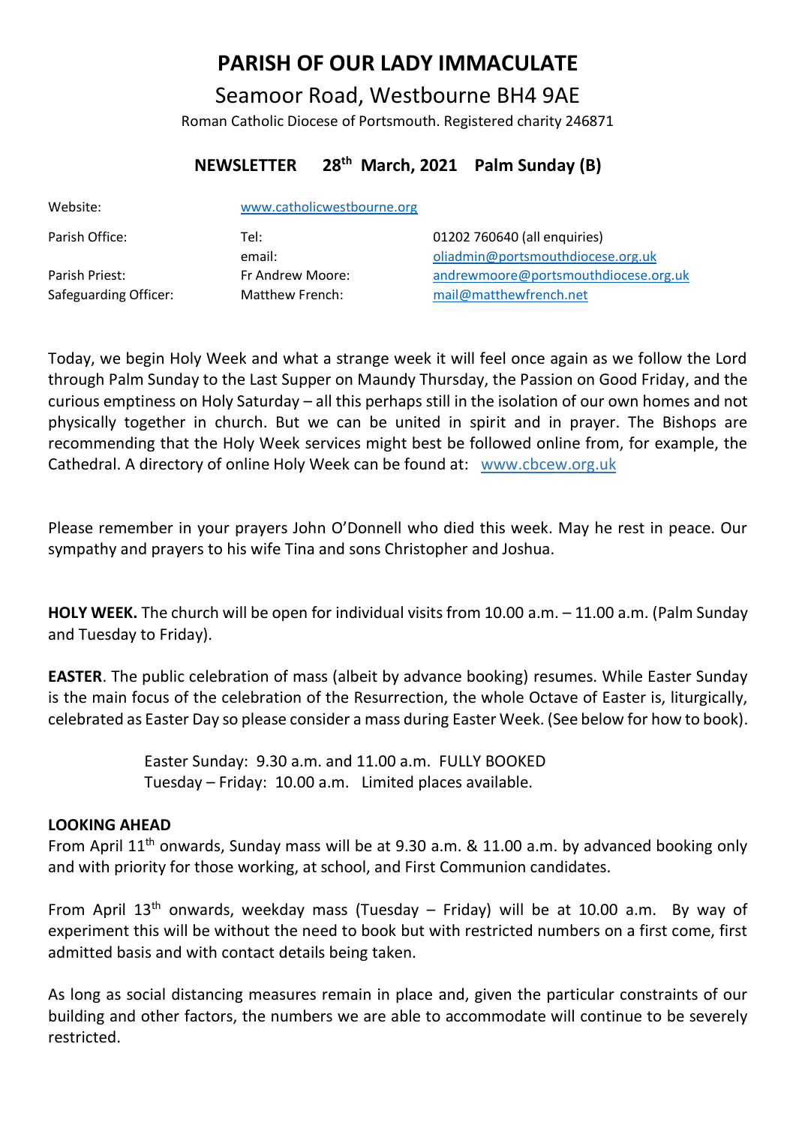# **PARISH OF OUR LADY IMMACULATE**

Seamoor Road, Westbourne BH4 9AE Roman Catholic Diocese of Portsmouth. Registered charity 246871

## **NEWSLETTER 28th March, 2021 Palm Sunday (B)**

| Website:              | www.catholicwestbourne.org |                                      |
|-----------------------|----------------------------|--------------------------------------|
| Parish Office:        | Tel:                       | 01202 760640 (all enquiries)         |
|                       | email:                     | oliadmin@portsmouthdiocese.org.uk    |
| Parish Priest:        | Fr Andrew Moore:           | andrewmoore@portsmouthdiocese.org.uk |
| Safeguarding Officer: | Matthew French:            | mail@matthewfrench.net               |

Today, we begin Holy Week and what a strange week it will feel once again as we follow the Lord through Palm Sunday to the Last Supper on Maundy Thursday, the Passion on Good Friday, and the curious emptiness on Holy Saturday – all this perhaps still in the isolation of our own homes and not physically together in church. But we can be united in spirit and in prayer. The Bishops are recommending that the Holy Week services might best be followed online from, for example, the Cathedral. A directory of online Holy Week can be found at: www.cbcew.org.uk

Please remember in your prayers John O'Donnell who died this week. May he rest in peace. Our sympathy and prayers to his wife Tina and sons Christopher and Joshua.

**HOLY WEEK.** The church will be open for individual visits from 10.00 a.m. – 11.00 a.m. (Palm Sunday and Tuesday to Friday).

**EASTER**. The public celebration of mass (albeit by advance booking) resumes. While Easter Sunday is the main focus of the celebration of the Resurrection, the whole Octave of Easter is, liturgically, celebrated as Easter Day so please consider a mass during Easter Week. (See below for how to book).

> Easter Sunday: 9.30 a.m. and 11.00 a.m. FULLY BOOKED Tuesday – Friday: 10.00 a.m. Limited places available.

## **LOOKING AHEAD**

From April 11<sup>th</sup> onwards, Sunday mass will be at 9.30 a.m. & 11.00 a.m. by advanced booking only and with priority for those working, at school, and First Communion candidates.

From April  $13<sup>th</sup>$  onwards, weekday mass (Tuesday – Friday) will be at 10.00 a.m. By way of experiment this will be without the need to book but with restricted numbers on a first come, first admitted basis and with contact details being taken.

As long as social distancing measures remain in place and, given the particular constraints of our building and other factors, the numbers we are able to accommodate will continue to be severely restricted.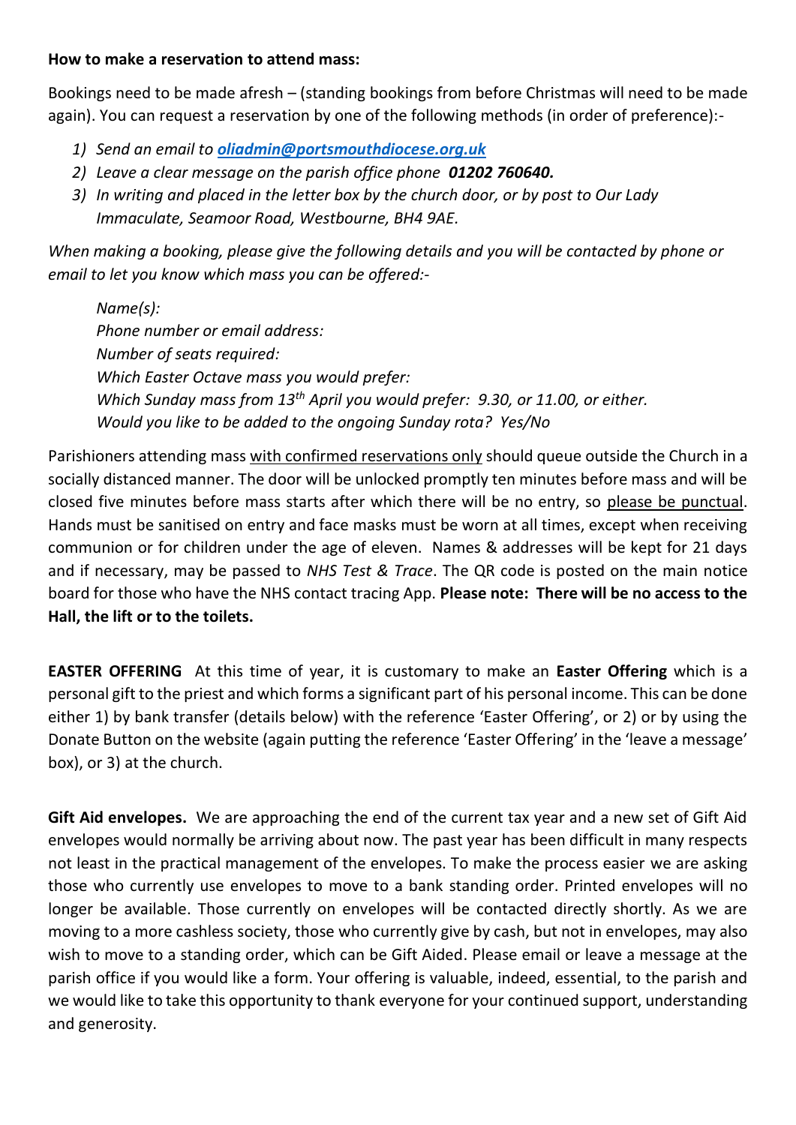## **How to make a reservation to attend mass:**

Bookings need to be made afresh – (standing bookings from before Christmas will need to be made again). You can request a reservation by one of the following methods (in order of preference):-

- *1) Send an email to [oliadmin@portsmouthdiocese.org.uk](about:blank)*
- *2) Leave a clear message on the parish office phone 01202 760640.*
- *3) In writing and placed in the letter box by the church door, or by post to Our Lady Immaculate, Seamoor Road, Westbourne, BH4 9AE.*

*When making a booking, please give the following details and you will be contacted by phone or email to let you know which mass you can be offered:-*

*Name(s): Phone number or email address: Number of seats required: Which Easter Octave mass you would prefer: Which Sunday mass from 13th April you would prefer: 9.30, or 11.00, or either. Would you like to be added to the ongoing Sunday rota? Yes/No*

Parishioners attending mass with confirmed reservations only should queue outside the Church in a socially distanced manner. The door will be unlocked promptly ten minutes before mass and will be closed five minutes before mass starts after which there will be no entry, so please be punctual. Hands must be sanitised on entry and face masks must be worn at all times, except when receiving communion or for children under the age of eleven. Names & addresses will be kept for 21 days and if necessary, may be passed to *NHS Test & Trace*. The QR code is posted on the main notice board for those who have the NHS contact tracing App. **Please note: There will be no access to the Hall, the lift or to the toilets.**

**EASTER OFFERING** At this time of year, it is customary to make an **Easter Offering** which is a personal gift to the priest and which forms a significant part of his personal income. This can be done either 1) by bank transfer (details below) with the reference 'Easter Offering', or 2) or by using the Donate Button on the website (again putting the reference 'Easter Offering' in the 'leave a message' box), or 3) at the church.

**Gift Aid envelopes.** We are approaching the end of the current tax year and a new set of Gift Aid envelopes would normally be arriving about now. The past year has been difficult in many respects not least in the practical management of the envelopes. To make the process easier we are asking those who currently use envelopes to move to a bank standing order. Printed envelopes will no longer be available. Those currently on envelopes will be contacted directly shortly. As we are moving to a more cashless society, those who currently give by cash, but not in envelopes, may also wish to move to a standing order, which can be Gift Aided. Please email or leave a message at the parish office if you would like a form. Your offering is valuable, indeed, essential, to the parish and we would like to take this opportunity to thank everyone for your continued support, understanding and generosity.